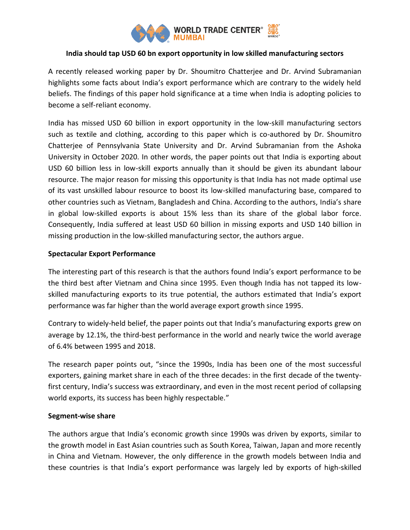

# **India should tap USD 60 bn export opportunity in low skilled manufacturing sectors**

A recently released working paper by Dr. Shoumitro Chatterjee and Dr. Arvind Subramanian highlights some facts about India's export performance which are contrary to the widely held beliefs. The findings of this paper hold significance at a time when India is adopting policies to become a self-reliant economy.

India has missed USD 60 billion in export opportunity in the low-skill manufacturing sectors such as textile and clothing, according to this paper which is co-authored by Dr. Shoumitro Chatterjee of Pennsylvania State University and Dr. Arvind Subramanian from the Ashoka University in October 2020. In other words, the paper points out that India is exporting about USD 60 billion less in low-skill exports annually than it should be given its abundant labour resource. The major reason for missing this opportunity is that India has not made optimal use of its vast unskilled labour resource to boost its low-skilled manufacturing base, compared to other countries such as Vietnam, Bangladesh and China. According to the authors, India's share in global low-skilled exports is about 15% less than its share of the global labor force. Consequently, India suffered at least USD 60 billion in missing exports and USD 140 billion in missing production in the low-skilled manufacturing sector, the authors argue.

## **Spectacular Export Performance**

The interesting part of this research is that the authors found India's export performance to be the third best after Vietnam and China since 1995. Even though India has not tapped its lowskilled manufacturing exports to its true potential, the authors estimated that India's export performance was far higher than the world average export growth since 1995.

Contrary to widely-held belief, the paper points out that India's manufacturing exports grew on average by 12.1%, the third-best performance in the world and nearly twice the world average of 6.4% between 1995 and 2018.

The research paper points out, "since the 1990s, India has been one of the most successful exporters, gaining market share in each of the three decades: in the first decade of the twentyfirst century, India's success was extraordinary, and even in the most recent period of collapsing world exports, its success has been highly respectable."

## **Segment-wise share**

The authors argue that India's economic growth since 1990s was driven by exports, similar to the growth model in East Asian countries such as South Korea, Taiwan, Japan and more recently in China and Vietnam. However, the only difference in the growth models between India and these countries is that India's export performance was largely led by exports of high-skilled